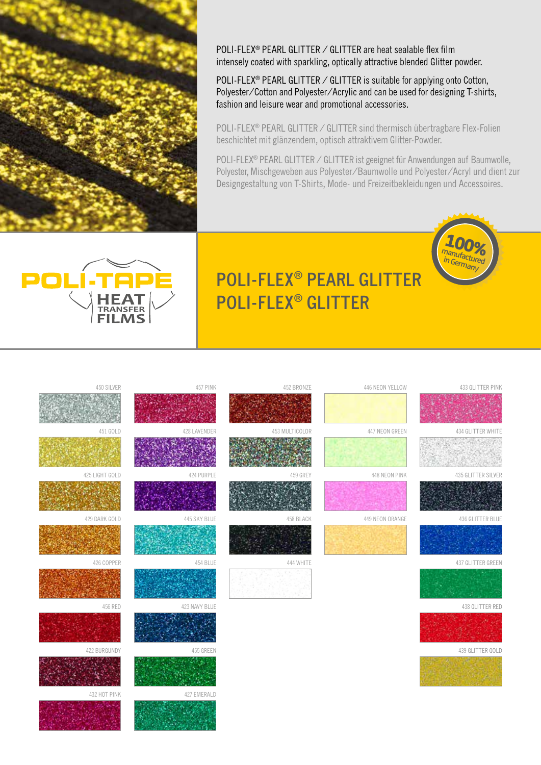

POLI-FLEX® PEARL GLITTER / GLITTER are heat sealable flex film intensely coated with sparkling, optically attractive blended Glitter powder.

POLI-FLEX<sup>®</sup> PEARL GLITTER / GLITTER is suitable for applying onto Cotton, Polyester/Cotton and Polyester/Acrylic and can be used for designing T-shirts, fashion and leisure wear and promotional accessories.

POLI-FLEX<sup>®</sup> PEARL GLITTER / GLITTER sind thermisch übertragbare Flex-Folien beschichtet mit glänzendem, optisch attraktivem Glitter-Powder.

POLI-FLEX® PEARL GLITTER / GLITTER ist geeignet für Anwendungen auf Baumwolle, Polyester, Mischgeweben aus Polyester/Baumwolle und Polyester/Acryl und dient zur Designgestaltung von T-Shirts, Mode- und Freizeitbekleidungen und Accessoires.



432 HOT PINK 427 EMERALD

# **POLI-FLEX® PEARL GLITTER POLI-FLEX® GLITTER**

## 426 COPPER 437 GLITTER GREEN 454 BLUE 444 WHITE 444 WHITE 437 GLITTER GREEN 437 GLITTER GREEN 453 MULTICOLOR 447 NEON GREEN 453 LAVENDER 453 MULTICOLOR 447 NEON GREEN 447 NEON GREEN 434 GLITTER WHITE 450 SILVER 457 PINK 452 BRONZE 433 GLITTER PINK 445 SKY BLUE 424 PURPLE 429 DARK GOLD 458 BLACK 436 GLITTER BLUE 422 BURGUNDY 455 GREEN 439 GLITTER GOLD 456 RED 423 NAVY BLUE 438 GLITTER RED 425 LIGHT GOLD 459 GREY 435 GLITTER SILVER 446 NEON YELLOW 449 NEON ORANGE 448 NEON PINK 447 NEON GREEN



**100%** manufactured in Germany